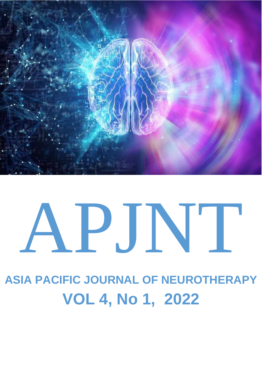

# APJNT

**ASIA PACIFIC JOURNAL OF NEUROTHERAPY VOL 4, No 1, 2022**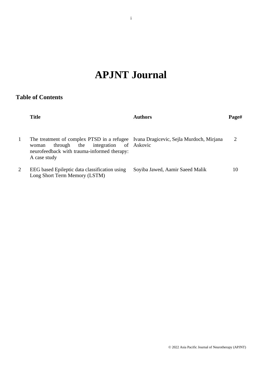# **APJNT Journal**

# **Table of Contents**

|   | <b>Title</b>                                                                                                                                                                                            | Authors                         | Page# |
|---|---------------------------------------------------------------------------------------------------------------------------------------------------------------------------------------------------------|---------------------------------|-------|
|   | The treatment of complex PTSD in a refugee Ivana Dragicevic, Sejla Murdoch, Mirjana<br>integration of Askovic<br>the<br>through<br>woman<br>neurofeedback with trauma-informed therapy:<br>A case study |                                 | 2     |
| 2 | EEG based Epileptic data classification using<br>Long Short Term Memory (LSTM)                                                                                                                          | Soyiba Jawed, Aamir Saeed Malik | 10    |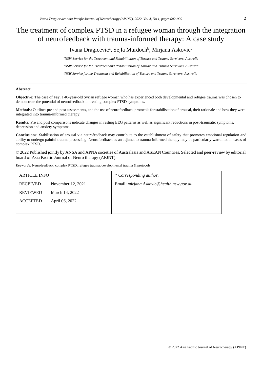# The treatment of complex PTSD in a refugee woman through the integration of neurofeedback with trauma-informed therapy: A case study

Ivana Dragicevic<sup>a</sup>, Sejla Murdoch<sup>b</sup>, Mirjana Askovic<sup>c</sup>

*<sup>a</sup>NSW Service for the Treatment and Rehabilitation of Torture and Trauma Survivors, Australia <sup>b</sup>NSW Service for the Treatment and Rehabilitation of Torture and Trauma Survivors, Australia <sup>c</sup>NSW Service for the Treatment and Rehabilitation of Torture and Trauma Survivors, Australia*

### **Abstract**

**Objective:** The case of Fay, a 40-year-old Syrian refugee woman who has experienced both developmental and refugee trauma was chosen to demonstrate the potential of neurofeedback in treating complex PTSD symptoms.

**Methods:** Outlines pre and post assessments, and the use of neurofeedback protocols for stabilisation of arousal, their rationale and how they were integrated into trauma-informed therapy.

**Results:** Pre and post comparisons indicate changes in resting EEG patterns as well as significant reductions in post-traumatic symptoms, depression and anxiety symptoms.

**Conclusions:** Stabilisation of arousal via neurofeedback may contribute to the establishment of safety that promotes emotional regulation and ability to undergo painful trauma processing. Neurofeedback as an adjunct to trauma-informed therapy may be particularly warranted in cases of complex PTSD.

© 2022 Published jointly by ANSA and APNA societies of Australasia and ASEAN Countries. Selected and peer-review by editorial board of Asia Pacific Journal of Neuro therapy (APJNT).

*Keywords:* Neurofeedback, complex PTSD, refugee trauma, developmental trauma & protocols

| <b>ARTICLE INFO</b> |                   | * Corresponding author.                  |
|---------------------|-------------------|------------------------------------------|
| <b>RECEIVED</b>     | November 12, 2021 | Email: mirjana.Askovic@health.nsw.gov.au |
| <b>REVIEWED</b>     | March 14, 2022    |                                          |
| <b>ACCEPTED</b>     | April 06, 2022    |                                          |
|                     |                   |                                          |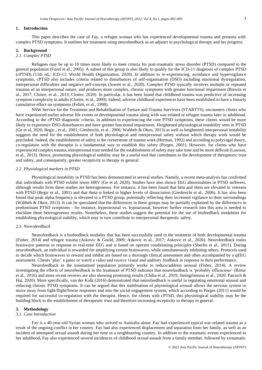### **1. Introduction**

This paper describes the case of Fay, a refugee woman who has experienced developmental trauma and presents with complex PTSD symptoms. It outlines her treatment using neurofeedback as an adjunct to psychological therapy and her progress.

### **2. Background**

### *2.1. Complex PTSD*

Refugees may be up to 10 times more likely to meet criteria for post-traumatic stress disorder (PTSD) compared to the general population (Fazel et al., 2005). A subset of this group is also likely to qualify for the ICD-11 diagnosis of complex PTSD (cPTSD) (11th ed,; ICD-11; World Health Organization, 2020). In addition to re-experiencing, avoidance and hypervigilance symptoms, cPTSD also includes criteria related to disturbances of self-organisation (DSO) including emotional dysregulation, interpersonal difficulties and negative self-concept (Jowett et al., 2020). Complex PTSD typically involves multiple or repeated traumas of an interpersonal nature, and produces more complex, chronic symptoms with greater functional impairment (Brewin et al., 2017; Cloitre, et al., 2013; Cloitre, 2020). In particular, it has been found that childhood trauma was predictive of increasing symptom complexity in adults (Cloitre, et al., 2009). Indeed, adverse childhood experiences have been established to have a linearly cumulative effect on symptoms (Felitti, et al., 1998).

NSW Service for the Treatment and Rehabilitation of Torture and Trauma Survivors (STARTTS), encounters clients who have experienced earlier adverse life events or developmental trauma along with war-related or refugee trauma later in adulthood. According to the cPTSD diagnostic criteria, in addition to experiencing the core PTSD symptoms, these clients would be more likely to experience DSO disturbances and have greater functional impairment. Heightened physiological instability seen in PTSD (Ge et al, 2020; Begic., et al., 2001; Giesbrecht, et al., 2006; Wahbeh & Oken, 2013) as well as heightened interpersonal instability suggests the need for the establishment of both physiological and interpersonal safety without which therapy work would be precluded. Indeed, the establishment of safety is the cornerstone of trauma work (Herman, 1992) and according to polyvagal theory, co-regulation with the therapist is a fundamental way to establish this safety (Porges, 2001). However, for clients who have experienced complex trauma, interpersonal trust needed for the establishment of safety may take time and be more difficult (Lawson, et al., 2013). Hence, promoting physiological stability may be a useful tool that contributes to the development of therapeutic trust and safety, and consequently, greater receptivity to therapy in general.

### *2.2. Physiological markers in PTSD*

Physiological instability in PTSD has been demonstrated in several studies. Namely, a recent meta-analysis has confirmed that individuals with PTSD exhibit lower HRV (Ge et al, 2020). Studies have also shown EEG abnormalities in PTSD sufferers, although results from these studies are heterogeneous. For instance, it has been found that beta and theta are elevated in veterans with PTSD (Begic et al., 2001) and that theta is linked to higher levels of dissociation (Giesbrecht et al., 2006). It has also been found that peak alpha frequency is elevated in a PTSD group, potentially reflecting their increased vigilance to their surroundings (Wahbeh & Oken, 2013). It can be speculated that the differences in these groups may be partially explained by the differences in predominant PTSD symptoms - for instance, hyperarousal vs. hypoarousal, however further research into this area is needed to elucidate these heterogeneous results. Nonetheless, these studies suggest the potential for the use of biofeedback modalities for establishing physiological stability, which may in turn contribute to interpersonal therapeutic safety.

### *2.3. Neorofeedback*

Neurofeedback is a biofeedback modality that has been successfully used in the treatment of both developmental trauma (Fisher, 2014) and refugee trauma (Askovic & Gould, 2009; Askovic et al., 2017; Askovic et al., 2020). Neurofeedback trains brainwave patterns in response to real-time EEG and is based on operant conditioning principles (Sherlin et al., 2011). During neurofeedback, an individual is rewarded for amplifying certain brainwaves, while simultaneously inhibiting others. Protocols used to decide which brainwaves to reward and inhibit are based on a thorough clinical assessment and often accompanied by a qEEG assessment. Clients 'play' a game or watch a video and receive visual and auditory feedback in response to their performance.

Neurofeedback in the traumatised population primarily works to reduce/address arousal (Fisher, 2014). A review investigating the effects of neurofeedback in the treatment of PTSD indicates that neurofeedback is 'probably efficacious' (Reiter et al., 2016) and more recent reviews are also showing promising results (Chiba et al., 2019; Steingrimsson et al., 2020; Panisch & Hai, 2020). More specifically, van der Kolk (2016) demonstrated that neurofeedback is useful in regulating emotional arousal and reducing chronic PTSD symptoms. It can be argued that this stabilisation of physiological arousal allows the nervous system to move away from fight/flight/freeze responses and into the social engagement system, which according to Porges (2011) would be required for successful co-regulation with the therapist. Hence, for clients with cPTSD, this physiological stability may be the building block to the establishment of therapeutic trust and therefore increasing receptivity to therapy in general.

### **3. Methodology**

### *3.1. Case Introduction*

Fay is a 40-year-old Syrian woman who arrived to Australia alone. Fay had experienced typical war-related trauma as a result of the ongoing conflict in her country. Fay had also experienced displacement and separation from her family, as well as an incident of attempted sexual assault during her time in a neighbouring country. In addition to the traumatic events experienced in her adulthood, Fay also experienced several incidences of childhood sexual assault from a family member, followed by a traumatic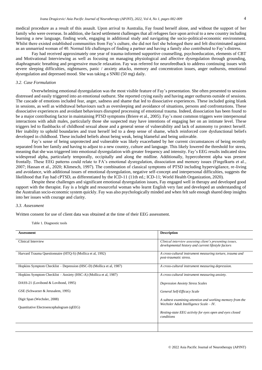medical procedure as a result of this assault. Upon arrival to Australia, Fay found herself alone, and without the support of her family who were overseas. In addition, she faced settlement challenges that all refugees face upon arrival to a new country including learning a new language, finding work, engaging in additional study and navigating the socio-political-economic environment. Whilst there existed established communities from Fay's culture, she did not feel she belonged there and felt discriminated against as an unmarried woman of 40. Normal life challenges of finding a partner and having a family also contributed to Fay's distress.

Fay had received approximately one year of trauma-informed supportive counselling, psychoeducation, elements of CBT and Motivational Interviewing as well as focusing on managing physiological and affective dysregulation through grounding, diaphragmatic breathing and progressive muscle relaxation. Fay was referred for neurofeedback to address continuing issues with severe sleeping difficulties, nightmares, panic / anxiety attacks, memory and concentration issues, anger outbursts, emotional dysregulation and depressed mood. She was taking a SNRI (50 mg) daily.

### *3.2. Case Formulation*

Overwhelming emotional dysregulation was the most visible feature of Fay's presentation. She often presented to sessions distressed and easily triggered into an emotional outburst. She reported crying easily and having anger outbursts outside of sessions. The cascade of emotions included fear, anger, sadness and shame that led to dissociative experiences. These included going blank in sessions, as well as withdrawal behaviours such as oversleeping and avoidance of situations, persons and confrontations. These dissociative experiences and avoidant behaviours disrupted processing of emotional trauma. Indeed, dissociation has been found to be a major contributing factor in maintaining PTSD symptoms (Briere et al., 2005). Fay's most common triggers were interpersonal interactions with adult males, particularly those she suspected may have intentions of engaging her on an intimate level. These triggers led to flashbacks of childhood sexual abuse and a general sense of vulnerability and lack of autonomy to protect herself. Her inability to uphold boundaries and trust herself led to a deep sense of shame, which reinforced core dysfunctional beliefs developed in childhood. These included beliefs about being weak, being blameful and being unlovable.

Fay's sense of being unprotected and vulnerable was likely exacerbated by her current circumstances of being recently separated from her family and having to adjust to a new country, culture and language. This likely lowered the threshold for stress, meaning that she was triggered into emotional dysregulation with greater frequency and intensity. Fay's EEG results indicated slow widespread alpha, particularly temporally, occipitally and along the midline. Additionally, hypercoherent alpha was present frontally. These EEG patterns could relate to FA's emotional dysregulation, dissociation and memory issues (Fingelkurts et al., 2007; Hassan et al., 2020; Klimesch, 1997). The combination of classical symptoms of PTSD including hypervigilance, re-living and avoidance, with additional issues of emotional dysregulation, negative self-concept and interpersonal difficulties, suggests the likelihood that Fay had cPTSD, as differentiated by the ICD-11 (11th ed.; ICD-11; World Health Organization, 2020).

Despite these challenges and significant emotional dysregulation issues, Fay engaged well in therapy and developed good rapport with the therapist. Fay is a bright and resourceful woman who learnt English very fast and developed an understanding of the Australian socio-economic system quickly. Fay was also psychologically minded and when felt safe enough shared deep insights into her issues with courage and clarity.

### *3.3. Assessment*

Written consent for use of client data was obtained at the time of their EEG assessment.

Table 1. Diagnostic tools

| <b>Assessment</b>                                                    | <b>Description</b>                                                                                              |
|----------------------------------------------------------------------|-----------------------------------------------------------------------------------------------------------------|
| Clinical Interview                                                   | Clinical interview assessing client's presenting issues,<br>developmental history and current lifestyle factors |
| Harvard Trauma Questionnaire (HTQ-S) (Mollica et al, 1992)           | A cross-cultural instrument measuring torture, trauma and<br>post-traumatic stress.                             |
| Hopkins Symptom Checklist – Depression (HSC-D) (Mollica et al. 1987) | A cross-cultural instrument measuring depression.                                                               |
| Hopkins Symptom Checklist – Anxiety (HSC-A) (Mollica et al. 1987)    | A cross-cultural instrument measuring anxiety.                                                                  |
| DASS-21 (Lovibond & Lovibond, 1995)                                  | <b>Depression Anxiety Stress Scales</b>                                                                         |
| GSE (Schwarzer & Jerusalem, 1995)                                    | General Self-Efficacy Scale                                                                                     |
| Digit Span (Wechsler, 2008)                                          | A subtest examining attention and working memory from the<br>Wechsler Adult Intelligence Scale $-V$ .           |
| Quantitative Electroencephalogram (qEEG)                             |                                                                                                                 |
|                                                                      | Resting-state EEG activity for eyes open and eyes closed<br>conditions                                          |
|                                                                      |                                                                                                                 |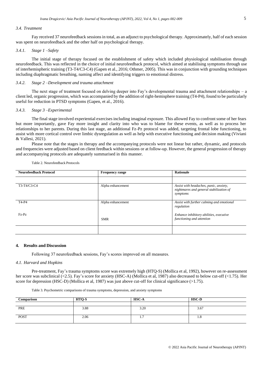### *3.4. Treatment*

Fay received 37 neurofeedback sessionsin total, as an adjunct to psychological therapy. Approximately, half of each session was spent on neurofeedback and the other half on psychological therapy.

### *3.4.1. Stage 1 –Safety*

The initial stage of therapy focused on the establishment of safety which included physiological stabilisation through neurofeedback. This was reflected in the choice of initial neurofeedback protocol, which aimed at stabilising symptoms through use of interhemispheric training (T3-T4/C3-C4) (Gapen et al., 2016; Othmer, 2005). This was in conjunction with grounding techniques including diaphragmatic breathing, naming affect and identifying triggers to emotional distress.

### *3.4.2. Stage 2 –Development and trauma attachment*

The next stage of treatment focused on delving deeper into Fay's developmental trauma and attachment relationships – a client led, organic progression, which was accompanied by the addition of right-hemisphere training (T4-P4), found to be particularly useful for reduction in PTSD symptoms (Gapen, et al., 2016).

### *3.4.3. Stage 3 –Experimental*

The final stage involved experiential exercises including imaginal exposure. This allowed Fay to confront some of her fears but more importantly, gave Fay more insight and clarity into who was to blame for these events, as well as to process her relationships to her parents. During this last stage, an additional Fz-Pz protocol was added, targeting frontal lobe functioning, to assist with more cortical control over limbic dysregulation as well as help with executive functioning and decision making (Viviani & Vallesi, 2021).

Please note that the stages in therapy and the accompanying protocols were not linear but rather, dynamic, and protocols and frequencies were adjusted based on client feedback within sessions or at follow-up. However, the general progression of therapy and accompanying protocols are adequately summarised in this manner.

| <b>Neurofeedback Protocol</b> | <b>Frequency range</b> | <b>Rationale</b>                                                                              |
|-------------------------------|------------------------|-----------------------------------------------------------------------------------------------|
|                               |                        |                                                                                               |
| T3-T4/C3-C4                   | Alpha enhancement      | Assist with headaches, panic, anxiety,<br>nightmares and general stabilization of<br>symptoms |
| T4-P4                         | Alpha enhancement      | Assist with further calming and emotional<br>regulation                                       |
| Fz-Pz                         | <b>SMR</b>             | Enhance inhibitory abilities, executive<br>functioning and attention                          |
|                               |                        |                                                                                               |

Table 2. Neurofeedback Protocols

### **4. Results and Discussion**

Following 37 neurofeedback sessions, Fay's scores improved on all measures.

### *4.1. Harvard and Hopkins*

Pre-treatment, Fay's trauma symptoms score was extremely high (HTQ-S) (Mollica et al, 1992), however on re-assessment her score was subclinical (<2.5). Fay's score for anxiety (HSC-A) (Mollica et al, 1987) also decreased to below cut-off (<1.75). Her score for depression (HSC-D) (Mollica et al, 1987) was just above cut-off for clinical significance (>1.75).

|  | Table 3. Psychometric comparisons of trauma symptoms, depression, and anxiety symptoms |  |  |  |  |  |
|--|----------------------------------------------------------------------------------------|--|--|--|--|--|
|  |                                                                                        |  |  |  |  |  |

| Comparison  | HTO-S | <b>HSC-A</b> | $HS\overline{C\text{-}D}$ |
|-------------|-------|--------------|---------------------------|
|             |       |              |                           |
| PRE         | 3.88  | 3.20         | 3.67                      |
| <b>POST</b> | 2.06  | <b>L.I</b>   | 1.8                       |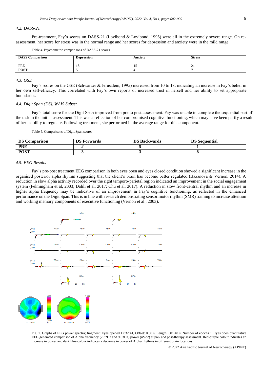### *4.2. DASS-21*

Pre-treatment, Fay's scores on DASS-21 (Lovibond & Lovibond, 1995) were all in the extremely severe range. On reassessment, her score for stress was in the normal range and her scores for depression and anxiety were in the mild range.

Table 4. Psychometric comparisons of DASS-21 scores

| <b>DASS Co</b><br>S Comparison | <b>Depression</b> | <b>Anxiety</b> | <b>Stress</b> |
|--------------------------------|-------------------|----------------|---------------|
|                                |                   |                |               |
| PRE                            | -10               | .              | <b>L</b>      |
| <b>POST</b>                    |                   |                |               |

### *4.3. GSE*

Fay's scores on the GSE (Schwarzer & Jerusalem, 1995) increased from 10 to 18, indicating an increase in Fay's belief in her own self-efficacy. This correlated with Fay's own reports of increased trust in herself and her ability to set appropriate boundaries.

### *4.4. Digit Span (DS), WAIS Subset*

Fay's total score for the Digit Span improved from pre to post assessment. Fay was unable to complete the sequential part of the task in the initial assessment. This was a reflection of her compromised cognitive functioning, which may have been partly a result of her inability to regulate. Following treatment, she performed in the average range for this component.

Table 5. Comparisons of Digit Span scores

| <b>DS Co</b><br><b>Comparison</b> | DS F<br>Forwards | <b>DS Backwards</b> | <b>DS</b> Sequential |
|-----------------------------------|------------------|---------------------|----------------------|
| <b>PRE</b>                        |                  |                     |                      |
| <b>POST</b>                       |                  |                     |                      |

### *4.5. EEG Results*

Fay's pre-post treatment EEG comparison in both eyes open and eyes closed condition showed a significant increase in the organised posterior alpha rhythm suggesting that the client's brain has become better regulated (Bazanova & Vernon, 2014). A reduction in slow alpha activity recorded over the right temporo-parietal region indicated an improvement in the social engagement system (Felmingham et al, 2003; Dalili et al, 2017; Chu et al, 2017). A reduction in slow front-central rhythm and an increase in higher alpha frequency may be indicative of an improvement in Fay's cognitive functioning, as reflected in the enhanced performance on the Digit Span. This is in line with research demonstrating sensorimotor rhythm (SMR) training to increase attention and working memory components of executive functioning (Vernon et al., 2003).

![](_page_6_Figure_13.jpeg)

Fig. 1. Graphs of EEG power spectra; fragment: Eyes opened 12:32:41, Offset: 0.00 s, Length: 601.48 s, Number of epochs 1. Eyes open quantitative EEG generated comparison of Alpha frequency (7.32Hz and 9.03Hz) power (uV^2) at pre- and post-therapy assessment. Red-purple colour indicates an increase in power and dark blue colour indicates a decrease in power of Alpha rhythms in different brain locations.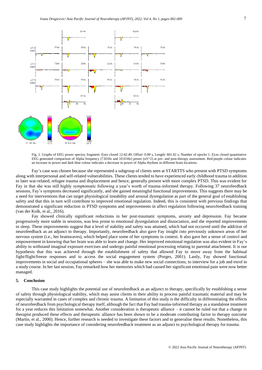![](_page_7_Figure_1.jpeg)

Fig. 2. Graphs of EEG power spectra; fragment: Eyes closed 12:42:49, Offset: 0.00 s, Length: 601.02 s, Number of epochs 1. Eyes closed quantitative EEG generated comparison of Alpha frequency  $(7.81\text{Hz}$  and  $10.01\text{Hz})$  power  $(uV^2)$  at pre- and post-therapy assessment. Red-purple colour indicates an increase in power and dark blue colour indicates a decrease in power of Alpha rhythms in different brain locations.

Fay's case was chosen because she represented a subgroup of clients seen at STARTTS who present with PTSD symptoms along with interpersonal and self-related vulnerabilities. These clients tended to have experienced early childhood trauma in addition to later war-related, refugee trauma and displacement and hence, generally present with more complex PTSD. This was evident for Fay in that she was still highly symptomatic following a year's worth of trauma-informed therapy. Following 37 neurofeedback sessions, Fay's symptoms decreased significantly, and she gained meaningful functional improvements. This suggests there may be a need for interventions that can target physiological instability and arousal dysregulation as part of the general goal of establishing safety and that this in turn will contribute to improved emotional regulation. Indeed, this is consistent with previous findings that demonstrated a significant reduction in PTSD symptoms and improvements in affect regulation following neurofeedback training (van der Kolk, et al., 2016).

Fay showed clinically significant reductions in her post-traumatic symptoms, anxiety and depression. Fay became progressively more stable in sessions, was less prone to emotional dysregulation and dissociation, and she reported improvements in sleep. These improvements suggest that a level of stability and safety was attained, which had not occurred until the addition of neurofeedback as an adjunct to therapy. Importantly, neurofeedback also gave Fay insight into previously unknown areas of her nervous system (i.e., her brainwaves), which helped place some of her symptoms in context. It also gave her a sense of control and empowerment in knowing that her brain was able to learn and change. Her improved emotional regulation was also evident in Fay's ability to withstand imaginal exposure exercises and undergo painful emotional processing relating to parental attachment. It is our hypothesis that this was achieved through the establishment of safety that allowed Fay to move away from the habitual fight/flight/freeze responses and to access the social engagement system (Porges, 2001). Lastly, Fay showed functional improvements in social and occupational spheres – she was able to make new social connections, to interview for a job and enrol in a study course. In her last session, Fay remarked how her memories which had caused her significant emotional pain were now better managed.

### **5. Conclusion**

This case study highlights the potential use of neurofeedback as an adjunct to therapy, specifically by establishing a sense of safety through physiological stability, which may assist clients in their ability to process painful traumatic material and may be especially warranted in cases of complex and chronic trauma. A limitation of this study is the difficulty in differentiating the effects of neurofeedback from psychological therapy itself, although the fact that Fay had trauma-informed therapy as a standalone treatment for a year reduces this limitation somewhat. Another consideration is therapeutic alliance – it cannot be ruled out that a change in therapist produced these effects and therapeutic alliance has been shown to be a moderate contributing factor to therapy outcome (Martin, et al., 2000). Hence, further research is needed to investigate these factors and to generalise these results. Nonetheless, this case study highlights the importance of considering neurofeedback treatment as an adjunct to psychological therapy for trauma.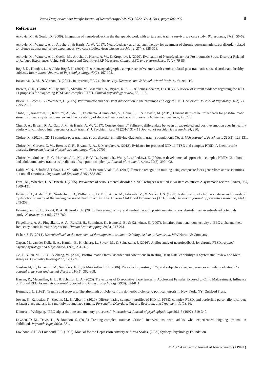### **References**

Askovic, M., & Gould, D. (2009). Integration of neurofeedback in the therapeutic work with torture and trauma survivors: a case study. *Biofeedback*, *37*(2), 56-62.

Askovic, M., Watters, A. J., Aroche, J., & Harris, A. W. (2017). Neurofeedback as an adjunct therapy for treatment of chronic posttraumatic stress disorder related to refugee trauma and torture experiences: two case studies. *Australasian psychiatry*, *25*(4), 358-363.

Askovic, M., Watters, A. J., Coello, M., Aroche, J., Harris, A. W., & Kropotov, J. (2020). Evaluation of Neurofeedback for Posttraumatic Stress Disorder Related to Refugee Experiences Using Self-Report and Cognitive ERP Measures. *Clinical EEG and Neuroscience*, *51*(2), 79-86.

Begić, D., Hotujac, L., & Jokić-Begić, N. (2001). Electroencephalographic comparison of veterans with combat-related post-traumatic stress disorder and healthy subjects. *International Journal of Psychophysiology*, *40*(2), 167-172.

Bazanova, O. M., & Vernon, D. (2014). Interpreting EEG alpha activity. *Neuroscience & Biobehavioral Reviews*, *44*, 94-110.

Brewin, C. R., Cloitre, M., Hyland, P., Shevlin, M., Maercker, A., Bryant, R. A., ... & Somasundaram, D. (2017). A review of current evidence regarding the ICD-11 proposals for diagnosing PTSD and complex PTSD. *Clinical psychology review*, *58*, 1-15.

Briere, J., Scott, C., & Weathers, F. (2005). Peritraumatic and persistent dissociation in the presumed etiology of PTSD. *American Journal of Psychiatry*, *162*(12), 2295-2301.

Chiba, T., Kanazawa, T., Koizumi, A., Ide, K., Taschereau-Dumouchel, V., Boku, S., ... & Kawato, M. (2019). Current status of neurofeedback for post-traumatic stress disorder: a systematic review and the possibility of decoded neurofeedback. *Frontiers in human neuroscience*, *13*, 233.

Chu, D. A., Bryant, R. A., Gatt, J. M., & Harris, A. W. (2017). Corrigendum to" Failure to differentiate between threat-related and positive emotion cues in healthy adults with childhood interpersonal or adult trauma"[J. Psychiatr. Res. 78 (2016) 31-41]. *Journal of psychiatric research*, *94*, 230.

Cloitre, M. (2020). ICD-11 complex post-traumatic stress disorder: simplifying diagnosis in trauma populations. *The British Journal of Psychiatry*, *216*(3), 129-131.

Cloitre, M., Garvert, D. W., Brewin, C. R., Bryant, R. A., & Maercker, A. (2013). Evidence for proposed ICD-11 PTSD and complex PTSD: A latent profile analysis. *European journal of psychotraumatology*, *4*(1), 20706.

Cloitre, M., Stolbach, B. C., Herman, J. L., Kolk, B. V. D., Pynoos, R., Wang, J., & Petkova, E. (2009). A developmental approach to complex PTSD: Childhood and adult cumulative trauma as predictors of symptom complexity. *Journal of traumatic stress*, *22*(5), 399-408.

Dalili, M. N., Schofield-Toloza, L., Munafò, M. R., & Penton-Voak, I. S. (2017). Emotion recognition training using composite faces generalises across identities but not all emotions. *Cognition and Emotion*, *31*(5), 858-867.

Fazel, M., Wheeler, J., & Danesh, J. (2005). Prevalence of serious mental disorder in 7000 refugees resettled in western countries: A systematic review. *Lancet, 365,* 1309–1314.

Felitti, V. J., Anda, R. F., Nordenberg, D., Williamson, D. F., Spitz, A. M., Edwards, V., & Marks, J. S. (1998). Relationship of childhood abuse and household dysfunction to many of the leading causes of death in adults: The Adverse Childhood Experiences (ACE) Study. *American journal of preventive medicine*, *14*(4), 245-258.

Felmingham, K. L., Bryant, R. A., & Gordon, E. (2003). Processing angry and neutral faces in post-traumatic stress disorder: an event-related potentials study. *Neuroreport*, *14*(5), 777-780.

Fingelkurts, A. A., Fingelkurts, A. A., Rytsälä, H., Suominen, K., Isometsä, E., & Kähkönen, S. (2007). Impaired functional connectivity at EEG alpha and theta frequency bands in major depression. *Human brain mapping*, *28*(3), 247-261.

Fisher, S. F. (2014). *Neurofeedback in the treatment of developmental trauma: Calming the fear-driven brain*. WW Norton & Company.

Gapen, M., van der Kolk, B. A., Hamlin, E., Hirshberg, L., Suvak, M., & Spinazzola, J. (2016). A pilot study of neurofeedback for chronic PTSD. *Applied psychophysiology and biofeedback*, *41*(3), 251-261.

Ge, F., Yuan, M., Li, Y., & Zhang, W. (2020). Posttraumatic Stress Disorder and Alterations in Resting Heart Rate Variability: A Systematic Review and Meta-Analysis. *Psychiatry Investigation*, *17*(1), 9.

Giesbrecht, T., Jongen, E. M., Smulders, F. T., & Merckelbach, H. (2006). Dissociation, resting EEG, and subjective sleep experiences in undergraduates. *The Journal of nervous and mental disease*, *194*(5), 362-368.

Hassan, R., Macmillan, H. L., & Schmidt, L. A. (2020). Trajectories of Dissociative Experiences in Adolescent Females Exposed to Child Maltreatment: Influence of Frontal EEG Asymmetry. *Journal of Social and Clinical Psychology*, *39*(9), 824-841.

Herman, J. L. (1992). Trauma and recovery: The aftermath of violence from domestic violence to political terrorism. New York, NY: Guilford Press.

Jowett, S., Karatzias, T., Shevlin, M., & Albert, I. (2020). Differentiating symptom profiles of ICD-11 PTSD, complex PTSD, and borderline personality disorder: A latent class analysis in a multiply traumatized sample. *Personality Disorders: Theory, Research, and Treatment*, *11*(1), 36.

Klimesch, Wolfgang. "EEG-alpha rhythms and memory processes." *International Journal of psychophysiology* 26.1-3 (1997): 319-340.

Lawson, D. M., Davis, D., & Brandon, S. (2013). Treating complex trauma: Critical interventions with adults who experienced ongoing trauma in childhood. *Psychotherapy*, *50*(3), 331.

Lovibond, S.H. & Lovibond, P.F. (1995). Manual for the Depression Anxiety & Stress Scales. (2 Ed.) Sydney: Psychology Foundation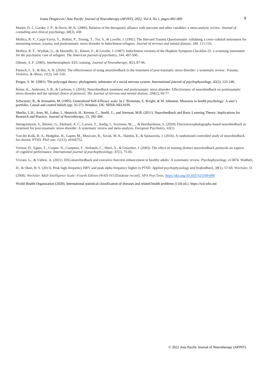Martin, D. J., Garske, J. P., & Davis, M. K. (2000). Relation of the therapeutic alliance with outcome and other variables: a meta-analytic review. *Journal of consulting and clinical psychology*, *68*(3), 438.

Mollica, R. F., Caspi-Yavin, Y., Bollini, P., Truong, T., Tor, S., & Lavelle, J. (1992). The Harvard Trauma Questionnaire: validating a cross-cultural instrument for measuring torture, trauma, and posttraumatic stress disorder in Indochinese refugees. *Journal of nervous and mental disease*, *180,* 111-116.

Mollica, R. F., Wyshak, G., de Marneffe, D., Khuon, F., & Lavelle, J. (1987). Indochinese versions of the Hopkins Symptom Checklist-25: a screening instrument for the psychiatric care of refugees. *The American journal of psychiatry*, *144,* 497-500.

Othmer, S. F. (2005). Interhemispheric EEG training. *Journal of Neurotherapy*, *9*(2), 87-96.

Panisch, L. S., & Hai, A. H. (2020). The effectiveness of using neurofeedback in the treatment of post-traumatic stress disorder: a systematic review. *Trauma, Violence, & Abuse*, *21*(3), 541-550.

Porges, S. W. (2001). The polyvagal theory: phylogenetic substrates of a social nervous system. *International journal of psychophysiology, 42(2)*, 123-146.

Reiter, K., Andersen, S. B., & Carlsson, J. (2016). Neurofeedback treatment and posttraumatic stress disorder: Effectiveness of neurofeedback on posttraumatic stress disorder and the optimal choice of protocol. *The Journal of nervous and mental disease*, *204*(2), 69-77.

Schwarzer, R., & Jerusalem, M. (1995). Generalized Self-Efficacy scale. In J. Weinman, S. Wright, & M. Johnston, Measures in health psychology: A user's portfolio. Causal and control beliefs (pp. 35-37). Windsor, UK: NFER-NELSON.

Sherlin, L.H., Arns, M., Lubar, J., Heinrich, H., Kerson, C., Strehl, U., and Sterman, M.B. (2011). Naurofeedback and Basic Learning Theory: Implications for Research and Practice. *Journal of Neurotherapy, 15*, 292-304.

Steingrimsson, S., Bilonic, G., Ekelund, A. C., Larson, T., Stadig, I., Svensson, M., ... & Bernhardsson, S. (2020). Electroencephalography-based neurofeedback as treatment for post-traumatic stress disorder: A systematic review and meta-analysis. *European Psychiatry*, *63*(1).

Van der Kolk, B. A., Hodgdon, H., Gapen, M., Musicaro, R., Suvak, M. K., Hamlin, E., & Spinazzola, J. (2016). A randomized controlled study of neurofeedback for chronic PTSD. *PloS one*, *11*(12), e0166752.

Vernon, D., Egner, T., Cooper, N., Compton, T., Neilands, C., Sheri, A., & Gruzelier, J. (2003). The effect of training distinct neurofeedback protocols on aspects of cognitive performance. *International journal of psychophysiology*, *47*(1), 75-85.

Viviani, G., & Vallesi, A. (2021). EEG neurofeedback and executive function enhancement in healthy adults: A systematic review. *Psychophysiology*, e13874. Wahbeh,

H., & Oken, B. S. (2013). Peak high-frequency HRV and peak alpha frequency higher in PTSD. *Applied psychophysiology and biofeedback*, *38*(1), 57-69. Wechsler, D.

(2008). *Wechsler Adult Intelligence Scale--Fourth Edition (WAIS-IV)* [Database record]. APA PsycTests[. https://doi.org/10.1037/t15169-000](https://doi.org/10.1037/t15169-000)

World Health Organization (2020). International statistical classification of diseases and related health problems (11th ed.). https://icd.who.int/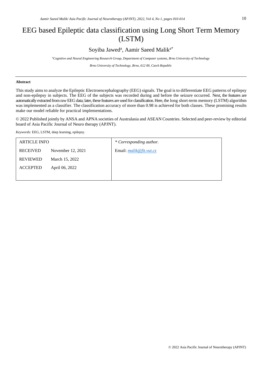# EEG based Epileptic data classification using Long Short Term Memory (LSTM)

## Soyiba Jawed<sup>a</sup>, Aamir Saeed Malik<sup>a\*</sup>

*<sup>a</sup>Cognitive and Neural Engineering Research Group, Department of Computer systems, Brno University of Technology*

*Brno University of Technology, Brno, 612 00, Czech Republic*

### **Abstract**

This study aims to analyze the Epileptic Electroencephalography (EEG) signals. The goal is to differentiate EEG patterns of epilepsy and non-epilepsy in subjects. The EEG of the subjects was recorded during and before the seizure occurred. Next, the features are automatically extracted from raw EEG data; later, these features are used for classification. Here, the long short-term memory (LSTM) algorithm was implemented as a classifier. The classification accuracy of more than 0.98 is achieved for both classes. These promising results make our model reliable for practical implementations.

© 2022 Published jointly by ANSA and APNA societies of Australasia and ASEAN Countries. Selected and peer-review by editorial board of Asia Pacific Journal of Neuro therapy (APJNT).

*Keywords:* EEG, LSTM, deep learning, epilepsy.

| <b>ARTICLE INFO</b> |                   | * Corresponding author.                 |
|---------------------|-------------------|-----------------------------------------|
| <b>RECEIVED</b>     | November 12, 2021 | Email: $mali \& \& \nfit{fit}$ . vut.cz |
| <b>REVIEWED</b>     | March 15, 2022    |                                         |
| <b>ACCEPTED</b>     | April 06, 2022    |                                         |
|                     |                   |                                         |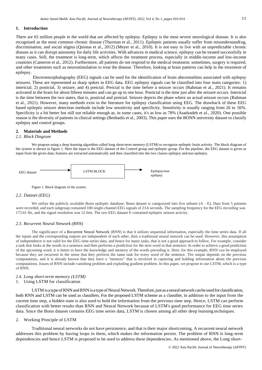### **1. Introduction**

There are 65 million people in the world that are affected by epilepsy. Epilepsy is the most severe neurological disease. It is also recognized as the most common chronic disease (Thurman et al., 2011). Epileptic patients usually suffer from misunderstanding, discrimination, and social stigma (Quintas et al., 2012) (Meyer et al., 2010). It is not easy to live with an unpredictable chronic disease as it can disrupt autonomy for daily life activities. With advances in medical science, epilepsy can be treated successfully in many cases. Still, the treatment is long-term, which affects the treatment process, especially in middle-income and low-income countries (Cameron et al., 2012). Furthermore, all patients do not respond to the medical treatment; sometimes, surgery is required, and other treatments such as neurostimulation to treat the disease. Therefore, looking at brain patterns can help in the treatment of epilepsy.

Electroencephalography (EEG) signals can be used for the identification of brain abnormalities associated with epilepsy seizures. These are represented as sharp spikes in EEG data. EEG epilepsy signals can be classified into four main categories: 1) interictal, 2) postictal, 3) seizure, and 4) preictal. Preictal is the time before a seizure occurs (Rahman et al., 2021). It remains activated in the brain for about fifteen minutes and can go up to one hour. Postictal is the time just after the seizure occurs. Interictal is the time between the two states, that is, postictal and preictal. Seizure depicts the phase where an actual seizure occurs (Rahman et al., 2021). However, many methods exist in the literature for epilepsy classification using EEG. The drawback of these EEG based epileptic seizure detection methods include low sensitivity and specificity. Sensitivity is usually ranging from 26 to 56%. Specificity is a bit better but still not reliable enough as, in some cases, it's as low as 78% (Asadzadeh et al., 2020). One possible reason is the diversity of patients in clinical settings (Benbadis et al., 2003). This paper uses the BONN university dataset to classify epilepsy and control groups.

### **2. Materials and Methods**

### *2.1. Block Diagram*

We propose using a deep learning algorithm called long short-term memory (LSTM) to recognize epileptic brain activity. The block diagram of the system is shown in figure 1. Here the input is the EEG dataset of the Control group and epileptic group. For the pipeline, the EEG dataset is given as input from the given data; features are extracted automatically and then classified into the two classes epilepsy and non-epilepsy.

![](_page_11_Figure_7.jpeg)

Figure 1. Block diagram of the system.

### *2.2. Dataset (EEG)*

We utilize the publicly available Bonn epileptic database. Bonn dataset is categorized into five subsets (A - E). Data from 5 patients were recorded, and each subgroup contained 100 single-channel EEG signals of 23.6 seconds. The sampling frequency for the EEG recording was 173.61 Hz, and the signal resolution was 12-bits. The raw EEG dataset E contained epileptic seizure activity.

### *2.3. Recurrent Neural Network (RNN)*

The significance of a Recurrent Neural Network (RNN) is that it utilizes sequential information, especially the time series data. If all the inputs and the corresponding outputs are independent of each other, then a traditional neural network can be used. However, this assumption of independence is not valid for the EEG time-series data, and hence for many tasks, that is not a good approach to follow. For example, consider a task that looks at the words in a sentence and then performs a prediction for the next word in that sentence. In order to achieve a good prediction of the upcoming word, it is better to have the knowledge and memory of the words preceding it. Here, for this example, RNN can be employed because they are recurrent in the sense that they perform the same task for every word of the sentence. The output depends on the previous computations, and it is already known that they have a "memory" that is involved in capturing and holding information about the previous computations. Issues of RNN include vanishing problem and exploding gradient problem. In this paper, we propose to use LSTM, which is a type of RNN.

### *2.4. Long short-term memory (LSTM)*

### 1. Using LSTM for classification

LSTM is a type of RNN and RNN is a type of Neural Network. Therefore, just as a neural network can be used for classification, both RNN and LSTM can be used as classifiers. For the proposed LSTM scheme as a classifier, in addition to the input from the current time step, a hidden state is also used to hold the information from the previous time step. Hence, LSTM can perform classification with better results than RNN and Neural Network because of LSTM's good performance for EEG time series data. Since the Bonn dataset contains EEG time series data, LSTM is chosen among all other deep learning techniques.

### 2. Working Principle of LSTM

Traditional neural networks do not have persistence, and that is their major shortcoming. A recurrent neural network addresses this problem by having loops in them, which makes the information persist. The problem of RNN is long-term dependencies and hence LSTM is proposed to be used to address these dependencies. As mentioned above, the Long short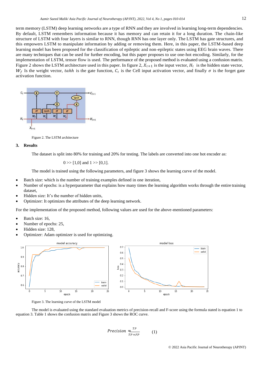term memory (LSTM) deep learning networks are a type of RNN and they are involved in learning long-term dependencies. By default, LSTM remembers information because it has memory and can retain it for a long duration. The chain-like structure of LSTM with four layers is similar to RNN, though RNN has one layer only. The LSTM has gate structures, and this empowers LSTM to manipulate information by adding or removing them. Here, in this paper, the LSTM-based deep learning model has been proposed for the classification of epileptic and non-epileptic states using EEG brain waves. There are many techniques that can be used for further encoding, but this paper proposes to use one-hot encoding. Similarly, for the implementation of LSTM, tensor flow is used. The performance of the proposed method is evaluated using a confusion matrix. Figure 2 shows the LSTM architecture used in this paper. In figure 2,  $X_{t+1}$  is the input vector,  $H_t$  is the hidden state vector,  $W_f$  Is the weight vector, tahh is the gate function,  $C_t$  is the Cell input activation vector, and finally  $\sigma$  is the forget gate activation function.

![](_page_12_Figure_2.jpeg)

Figure 2. The LSTM architecture

### **3. Results**

The dataset is split into 80% for training and 20% for testing. The labels are converted into one hot encoder as:

$$
0 \gg [1,0]
$$
 and  $1 \gg [0,1]$ .

The model is trained using the following parameters, and figure 3 shows the learning curve of the model.

- Batch size: which is the number of training examples defined in one iteration,
- Number of epochs: is a hyperparameter that explains how many times the learning algorithm works through the entire training dataset,
- Hidden size: It's the number of hidden units,
- Optimizer: It optimizes the attributes of the deep learning network.

For the implementation of the proposed method, following values are used for the above-mentioned parameters:

- Batch size: 16,
- Number of epochs: 25,
- Hidden size: 128,
- Optimizer: Adam optimizer is used for optimizing.

![](_page_12_Figure_17.jpeg)

Figure 3. The learning curve of the LSTM model

The model is evaluated using the standard evaluation metrics of precision-recall and F-score using the formula stated is equation 1 to equation 3. Table 1 shows the confusion matrix and Figure 3 shows the ROC curve.

$$
Precision = \frac{TP}{TP + FP}
$$
 (1)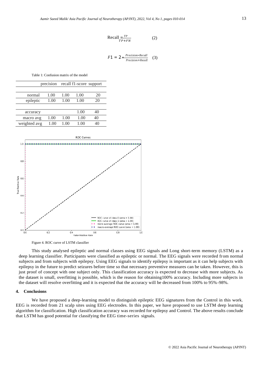$$
\text{Recall} = \frac{TP}{TP + FN} \tag{2}
$$

$$
F1 = 2 * \frac{Precision * Recall}{Precision + Recall}
$$
 (3)

Table 1: Confusion matrix of the model

|              | precision |      |      | recall f1-score support |
|--------------|-----------|------|------|-------------------------|
|              |           |      |      |                         |
| normal       | 1.00      | 1.00 | 1.00 | 20                      |
| epileptic    | 1.00      | 1.00 | 1.00 | 20                      |
|              |           |      |      |                         |
| accuracy     |           |      | 1.00 | 40                      |
| macro avg    | 1.00      | 1.00 | 1.00 | 40                      |
| weighted avg | 1.00      | 1.00 | 1.00 | 40                      |
|              |           |      |      |                         |

![](_page_13_Figure_5.jpeg)

Figure 4. ROC curve of LSTM classifier

This study analysed epileptic and normal classes using EEG signals and Long short-term memory (LSTM) as a deep learning classifier. Participants were classified as epileptic or normal. The EEG signals were recorded from normal subjects and from subjects with epilepsy. Using EEG signals to identify epilepsy is important as it can help subjects with epilepsy in the future to predict seizures before time so that necessary preventive measures can be taken. However, this is just proof of concept with one subject only. This classification accuracy is expected to decrease with more subjects. As the dataset is small, overfitting is possible, which is the reason for obtaining100% accuracy. Including more subjects in the dataset will resolve overfitting and it is expected that the accuracy will be decreased from 100% to 95%-98%.

### **4. Conclusions**

We have proposed a deep-learning model to distinguish epileptic EEG signatures from the Control in this work. EEG is recorded from 21 scalp sites using EEG electrodes. In this paper, we have proposed to use LSTM deep learning algorithm for classification. High classification accuracy was recorded for epilepsy and Control. The above results conclude that LSTM has good potential for classifying the EEG time-series signals.